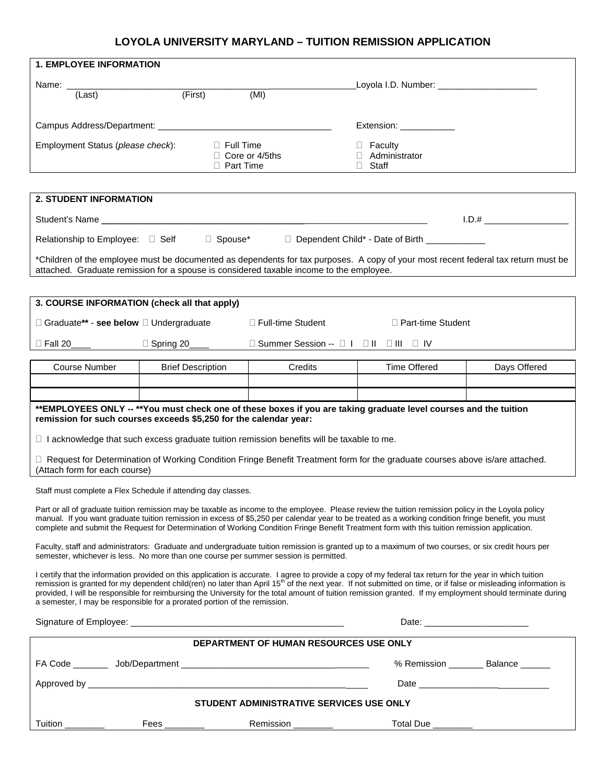## **LOYOLA UNIVERSITY MARYLAND – TUITION REMISSION APPLICATION**

| <b>1. EMPLOYEE INFORMATION</b>                                                                                                                                                                                                                                                                                                                                                                                                                                                                                                                                                     |                                                               |                                                                                                                                |                                                   |              |  |  |  |  |
|------------------------------------------------------------------------------------------------------------------------------------------------------------------------------------------------------------------------------------------------------------------------------------------------------------------------------------------------------------------------------------------------------------------------------------------------------------------------------------------------------------------------------------------------------------------------------------|---------------------------------------------------------------|--------------------------------------------------------------------------------------------------------------------------------|---------------------------------------------------|--------------|--|--|--|--|
|                                                                                                                                                                                                                                                                                                                                                                                                                                                                                                                                                                                    |                                                               |                                                                                                                                | Loyola I.D. Number: ________________________      |              |  |  |  |  |
| (Last)                                                                                                                                                                                                                                                                                                                                                                                                                                                                                                                                                                             | (First)                                                       | (MI)                                                                                                                           |                                                   |              |  |  |  |  |
|                                                                                                                                                                                                                                                                                                                                                                                                                                                                                                                                                                                    |                                                               |                                                                                                                                | Extension: ____________                           |              |  |  |  |  |
| Employment Status (please check):<br>$\Box$ Full Time<br>$\Box$ Core or 4/5ths<br><b>D</b> Part Time                                                                                                                                                                                                                                                                                                                                                                                                                                                                               |                                                               |                                                                                                                                | $\Box$ Faculty<br>□ Administrator<br>$\Box$ Staff |              |  |  |  |  |
|                                                                                                                                                                                                                                                                                                                                                                                                                                                                                                                                                                                    |                                                               |                                                                                                                                |                                                   |              |  |  |  |  |
| <b>2. STUDENT INFORMATION</b>                                                                                                                                                                                                                                                                                                                                                                                                                                                                                                                                                      |                                                               |                                                                                                                                |                                                   |              |  |  |  |  |
|                                                                                                                                                                                                                                                                                                                                                                                                                                                                                                                                                                                    |                                                               |                                                                                                                                |                                                   | $1.D.$ #     |  |  |  |  |
| □ Spouse* □ Dependent Child* - Date of Birth ____________<br>Relationship to Employee: □ Self                                                                                                                                                                                                                                                                                                                                                                                                                                                                                      |                                                               |                                                                                                                                |                                                   |              |  |  |  |  |
| *Children of the employee must be documented as dependents for tax purposes. A copy of your most recent federal tax return must be<br>attached. Graduate remission for a spouse is considered taxable income to the employee.                                                                                                                                                                                                                                                                                                                                                      |                                                               |                                                                                                                                |                                                   |              |  |  |  |  |
|                                                                                                                                                                                                                                                                                                                                                                                                                                                                                                                                                                                    |                                                               |                                                                                                                                |                                                   |              |  |  |  |  |
| 3. COURSE INFORMATION (check all that apply)                                                                                                                                                                                                                                                                                                                                                                                                                                                                                                                                       |                                                               |                                                                                                                                |                                                   |              |  |  |  |  |
| □ Graduate** - see below □ Undergraduate<br>□ Full-time Student<br>□ Part-time Student                                                                                                                                                                                                                                                                                                                                                                                                                                                                                             |                                                               |                                                                                                                                |                                                   |              |  |  |  |  |
|                                                                                                                                                                                                                                                                                                                                                                                                                                                                                                                                                                                    |                                                               |                                                                                                                                |                                                   |              |  |  |  |  |
| <b>Course Number</b>                                                                                                                                                                                                                                                                                                                                                                                                                                                                                                                                                               | <b>Brief Description</b>                                      | Credits                                                                                                                        | <b>Time Offered</b>                               | Days Offered |  |  |  |  |
|                                                                                                                                                                                                                                                                                                                                                                                                                                                                                                                                                                                    |                                                               |                                                                                                                                |                                                   |              |  |  |  |  |
|                                                                                                                                                                                                                                                                                                                                                                                                                                                                                                                                                                                    |                                                               |                                                                                                                                |                                                   |              |  |  |  |  |
| **EMPLOYEES ONLY -- **You must check one of these boxes if you are taking graduate level courses and the tuition<br>remission for such courses exceeds \$5,250 for the calendar year:                                                                                                                                                                                                                                                                                                                                                                                              |                                                               |                                                                                                                                |                                                   |              |  |  |  |  |
| $\Box$ I acknowledge that such excess graduate tuition remission benefits will be taxable to me.                                                                                                                                                                                                                                                                                                                                                                                                                                                                                   |                                                               |                                                                                                                                |                                                   |              |  |  |  |  |
| (Attach form for each course)                                                                                                                                                                                                                                                                                                                                                                                                                                                                                                                                                      |                                                               | □ Request for Determination of Working Condition Fringe Benefit Treatment form for the graduate courses above is/are attached. |                                                   |              |  |  |  |  |
|                                                                                                                                                                                                                                                                                                                                                                                                                                                                                                                                                                                    | Staff must complete a Flex Schedule if attending day classes. |                                                                                                                                |                                                   |              |  |  |  |  |
| Part or all of graduate tuition remission may be taxable as income to the employee. Please review the tuition remission policy in the Loyola policy<br>manual. If you want graduate tuition remission in excess of \$5,250 per calendar year to be treated as a working condition fringe benefit, you must<br>complete and submit the Request for Determination of Working Condition Fringe Benefit Treatment form with this tuition remission application.                                                                                                                        |                                                               |                                                                                                                                |                                                   |              |  |  |  |  |
| Faculty, staff and administrators: Graduate and undergraduate tuition remission is granted up to a maximum of two courses, or six credit hours per<br>semester, whichever is less. No more than one course per summer session is permitted.                                                                                                                                                                                                                                                                                                                                        |                                                               |                                                                                                                                |                                                   |              |  |  |  |  |
| I certify that the information provided on this application is accurate. I agree to provide a copy of my federal tax return for the year in which tuition<br>remission is granted for my dependent child(ren) no later than April 15 <sup>th</sup> of the next year. If not submitted on time, or if false or misleading information is<br>provided, I will be responsible for reimbursing the University for the total amount of tuition remission granted. If my employment should terminate during<br>a semester, I may be responsible for a prorated portion of the remission. |                                                               |                                                                                                                                |                                                   |              |  |  |  |  |
|                                                                                                                                                                                                                                                                                                                                                                                                                                                                                                                                                                                    |                                                               |                                                                                                                                |                                                   |              |  |  |  |  |
| DEPARTMENT OF HUMAN RESOURCES USE ONLY                                                                                                                                                                                                                                                                                                                                                                                                                                                                                                                                             |                                                               |                                                                                                                                |                                                   |              |  |  |  |  |
|                                                                                                                                                                                                                                                                                                                                                                                                                                                                                                                                                                                    |                                                               | % Remission ________ Balance ______                                                                                            |                                                   |              |  |  |  |  |
|                                                                                                                                                                                                                                                                                                                                                                                                                                                                                                                                                                                    |                                                               |                                                                                                                                |                                                   |              |  |  |  |  |
| STUDENT ADMINISTRATIVE SERVICES USE ONLY                                                                                                                                                                                                                                                                                                                                                                                                                                                                                                                                           |                                                               |                                                                                                                                |                                                   |              |  |  |  |  |
| Tuition ________                                                                                                                                                                                                                                                                                                                                                                                                                                                                                                                                                                   | Fees _________                                                | Remission ________                                                                                                             |                                                   |              |  |  |  |  |